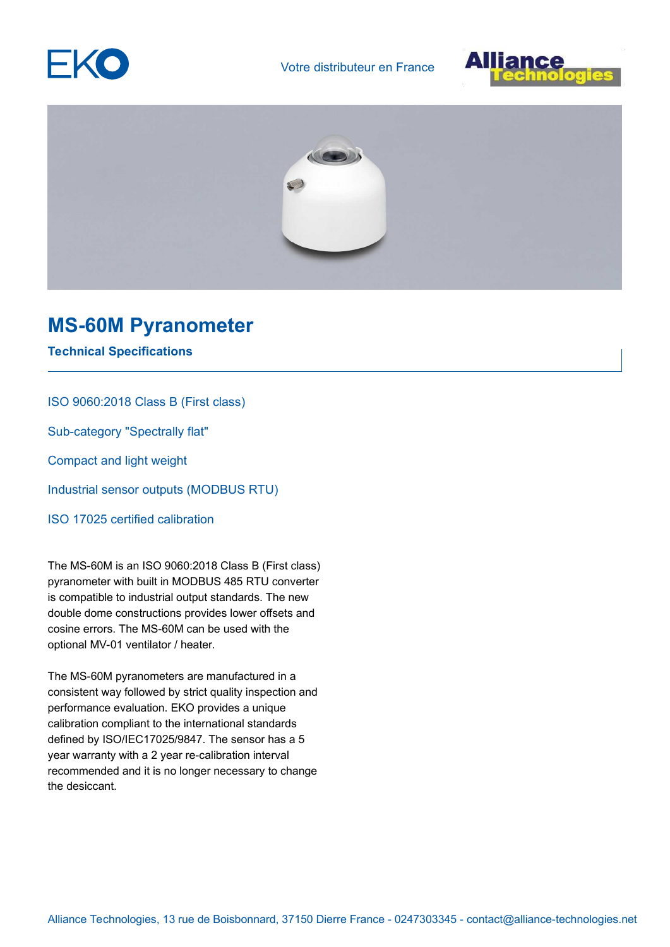





## **MS-60M Pyranometer**

**Technical Specifications**

ISO 9060:2018 Class B (First class)

Sub-category "Spectrally flat"

Compact and light weight

Industrial sensor outputs (MODBUS RTU)

ISO 17025 certified calibration

The MS-60M is an ISO 9060:2018 Class B (First class) pyranometer with built in MODBUS 485 RTU converter is compatible to industrial output standards. The new double dome constructions provides lower offsets and cosine errors. The MS-60M can be used with the optional MV-01 ventilator / heater.

The MS-60M pyranometers are manufactured in a consistent way followed by strict quality inspection and performance evaluation. EKO provides a unique calibration compliant to the international standards defined by ISO/IEC17025/9847. The sensor has a 5 year warranty with a 2 year re-calibration interval recommended and it is no longer necessary to change the desiccant.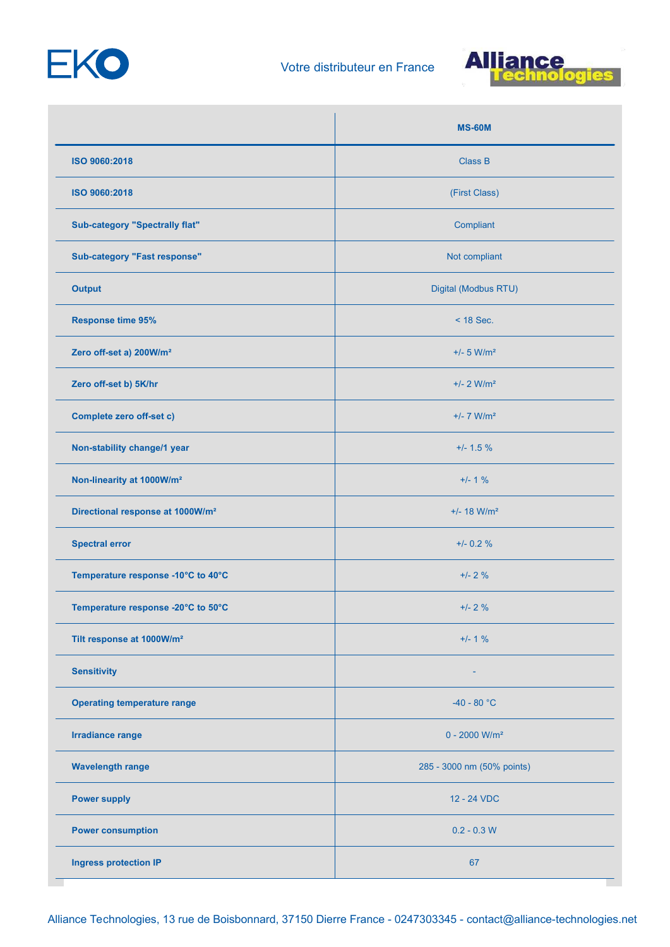



|                                              | <b>MS-60M</b>               |
|----------------------------------------------|-----------------------------|
| ISO 9060:2018                                | <b>Class B</b>              |
| ISO 9060:2018                                | (First Class)               |
| <b>Sub-category "Spectrally flat"</b>        | Compliant                   |
| <b>Sub-category "Fast response"</b>          | Not compliant               |
| <b>Output</b>                                | Digital (Modbus RTU)        |
| <b>Response time 95%</b>                     | $<$ 18 Sec.                 |
| Zero off-set a) 200W/m <sup>2</sup>          | $+/- 5$ W/m <sup>2</sup>    |
| Zero off-set b) 5K/hr                        | $+/- 2$ W/m <sup>2</sup>    |
| <b>Complete zero off-set c)</b>              | $+/- 7$ W/m <sup>2</sup>    |
| Non-stability change/1 year                  | $+/- 1.5 \%$                |
| Non-linearity at 1000W/m <sup>2</sup>        | $+/- 1 %$                   |
| Directional response at 1000W/m <sup>2</sup> | $+/- 18$ W/m <sup>2</sup>   |
| <b>Spectral error</b>                        | $+/- 0.2 \%$                |
| Temperature response -10°C to 40°C           | $+/- 2 %$                   |
| Temperature response -20°C to 50°C           | $+/- 2%$                    |
| Tilt response at 1000W/m <sup>2</sup>        | $+/- 1 %$                   |
| <b>Sensitivity</b>                           |                             |
| <b>Operating temperature range</b>           | $-40 - 80 °C$               |
| <b>Irradiance range</b>                      | $0 - 2000$ W/m <sup>2</sup> |
| <b>Wavelength range</b>                      | 285 - 3000 nm (50% points)  |
| <b>Power supply</b>                          | 12 - 24 VDC                 |
| <b>Power consumption</b>                     | $0.2 - 0.3$ W               |
| <b>Ingress protection IP</b>                 | 67                          |